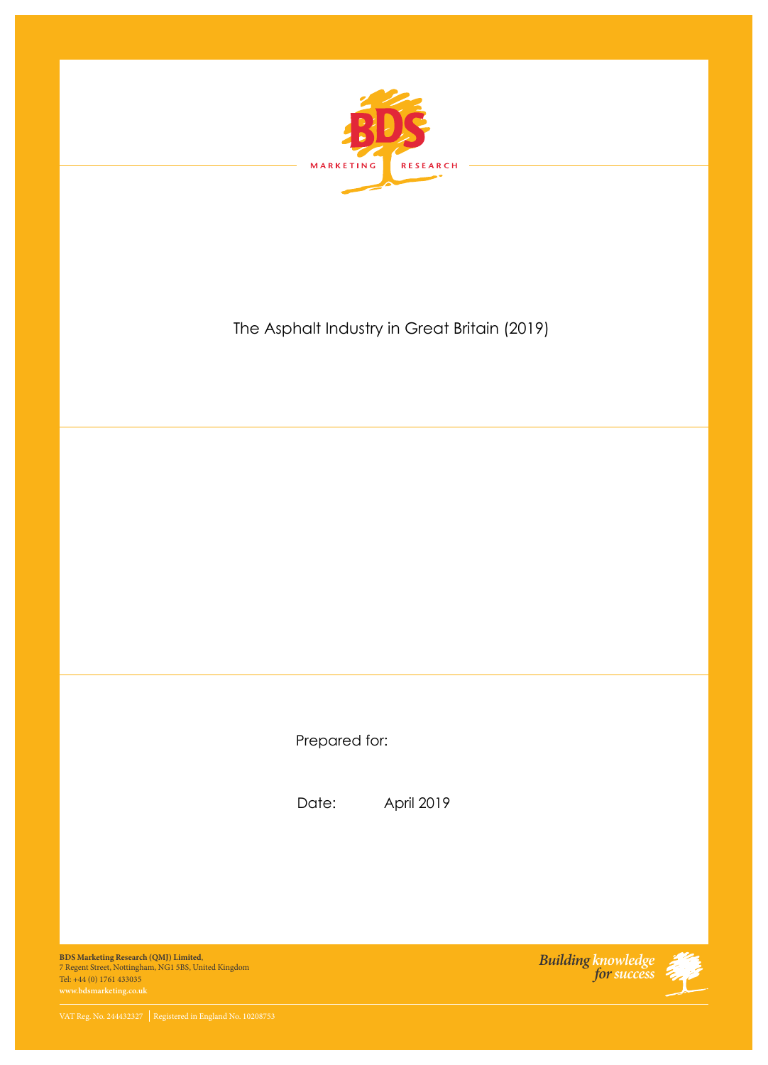

## The Asphalt Industry in Great Britain (2019)

Prepared for:

Date: April 2019

**BDS Marketing Research (QMJ) Limited**, 7 Regent Street, Nottingham, NG1 5BS, United Kingdom Tel: +44 (0) 1761 433035

*Building knowledge forsuccess*

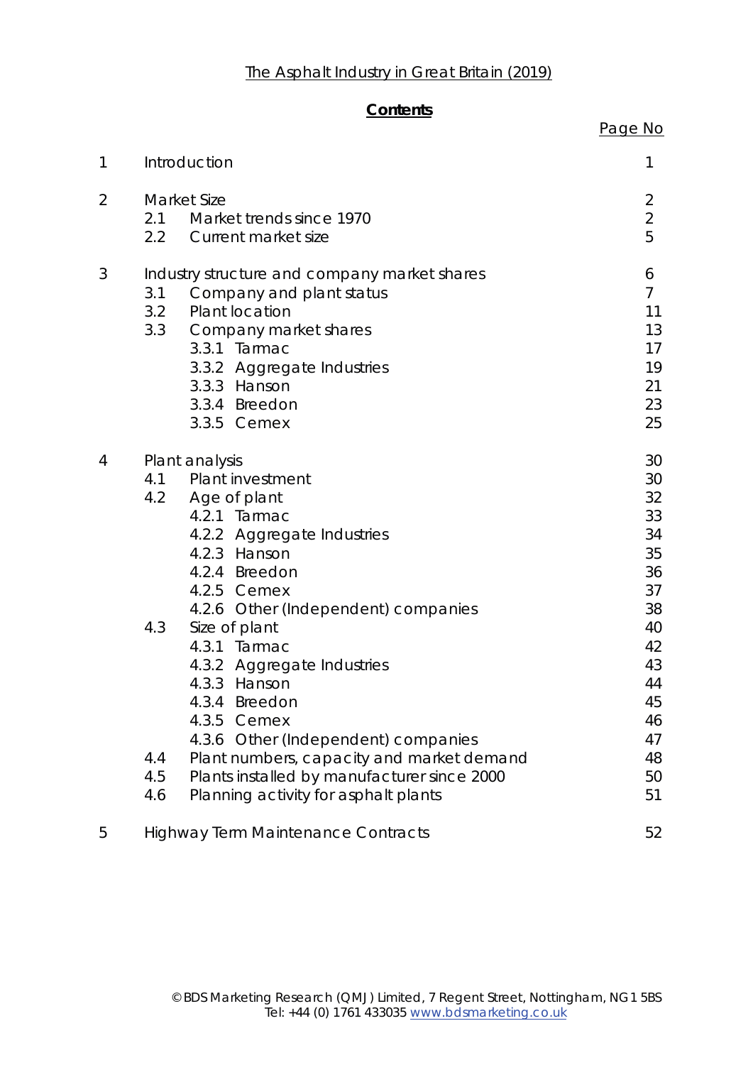## **Contents**

|                |                                                                                                                                                                                                                                                                                                                                                                                                                                                                                                                          | Page No                                                                                                        |
|----------------|--------------------------------------------------------------------------------------------------------------------------------------------------------------------------------------------------------------------------------------------------------------------------------------------------------------------------------------------------------------------------------------------------------------------------------------------------------------------------------------------------------------------------|----------------------------------------------------------------------------------------------------------------|
| $\mathbf 1$    | Introduction                                                                                                                                                                                                                                                                                                                                                                                                                                                                                                             | 1                                                                                                              |
| $\overline{2}$ | <b>Market Size</b><br>Market trends since 1970<br>2.1<br>2.2<br>Current market size                                                                                                                                                                                                                                                                                                                                                                                                                                      | $\overline{2}$<br>$\overline{2}$<br>5                                                                          |
| 3              | Industry structure and company market shares<br>3.1<br>Company and plant status<br>Plant location<br>3.2<br>3.3<br>Company market shares<br>3.3.1 Tarmac<br>3.3.2 Aggregate Industries<br>3.3.3 Hanson<br>3.3.4 Breedon<br>3.3.5 Cemex                                                                                                                                                                                                                                                                                   | 6<br>$\overline{7}$<br>11<br>13<br>17<br>19<br>21<br>23<br>25                                                  |
| $\overline{4}$ | Plant analysis<br>Plant investment<br>4.1<br>4.2 Age of plant<br>4.2.1 Tarmac<br>4.2.2 Aggregate Industries<br>4.2.3 Hanson<br>4.2.4 Breedon<br>4.2.5 Cemex<br>4.2.6 Other (Independent) companies<br>Size of plant<br>4.3<br>4.3.1 Tarmac<br>4.3.2 Aggregate Industries<br>4.3.3 Hanson<br>4.3.4 Breedon<br>4.3.5 Cemex<br>4.3.6 Other (Independent) companies<br>Plant numbers, capacity and market demand<br>4.4<br>4.5<br>Plants installed by manufacturer since 2000<br>Planning activity for asphalt plants<br>4.6 | 30<br>30<br>32<br>33<br>34<br>35<br>36<br>37<br>38<br>40<br>42<br>43<br>44<br>45<br>46<br>47<br>48<br>50<br>51 |
| 5              | <b>Highway Term Maintenance Contracts</b>                                                                                                                                                                                                                                                                                                                                                                                                                                                                                | 52                                                                                                             |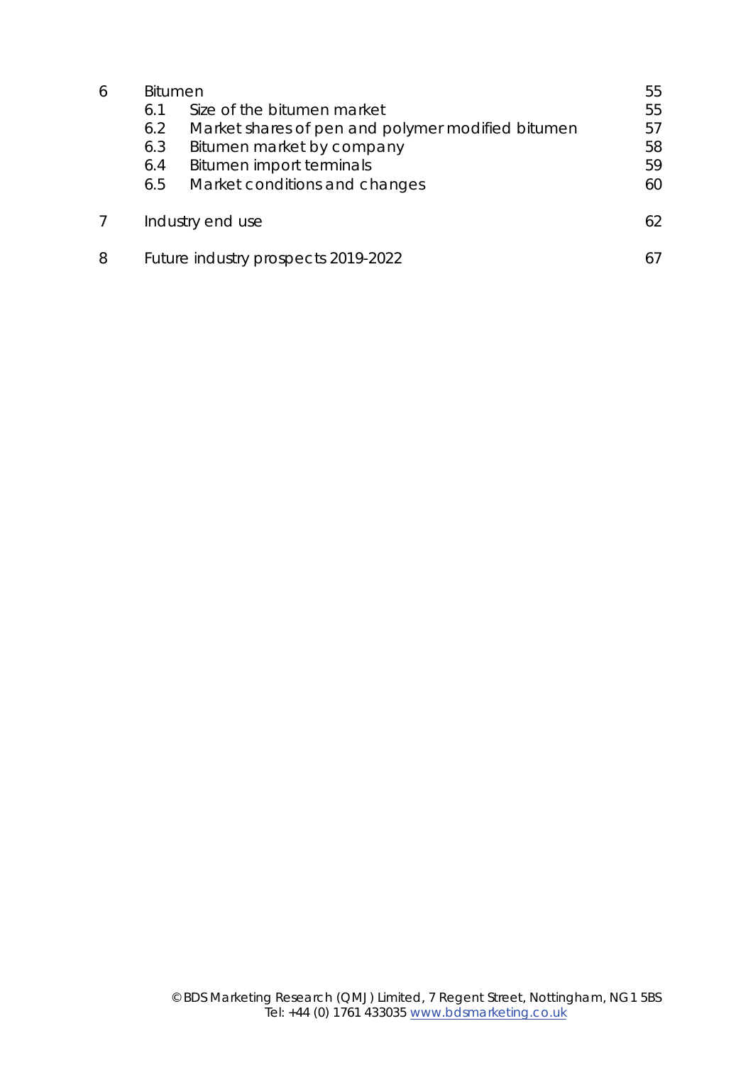| 6 | <b>Bitumen</b> |                                                   | 55 |  |
|---|----------------|---------------------------------------------------|----|--|
|   | 6.1            | Size of the bitumen market                        | 55 |  |
|   | 6.2            | Market shares of pen and polymer modified bitumen | 57 |  |
|   | 6.3            | Bitumen market by company                         | 58 |  |
|   | 6.4            | Bitumen import terminals                          | 59 |  |
|   | 6.5            | Market conditions and changes                     | 60 |  |
|   |                | Industry end use                                  | 62 |  |
| 8 |                | Future industry prospects 2019-2022               |    |  |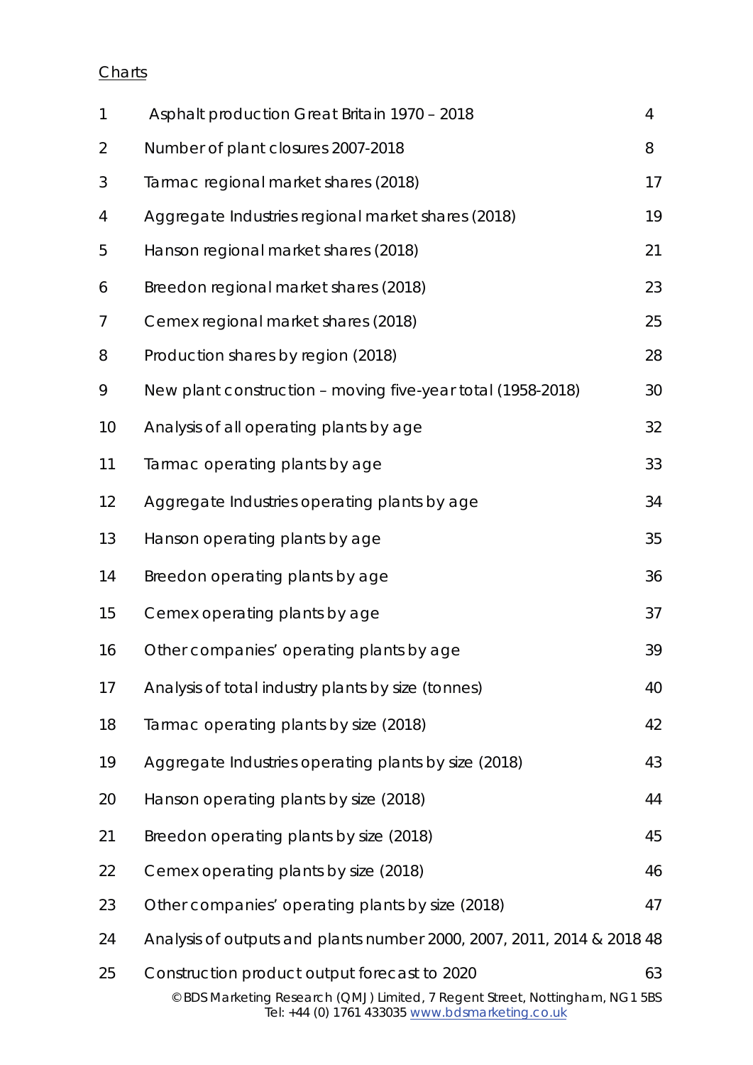## **Charts**

| $\mathbf{1}$ | Asphalt production Great Britain 1970 - 2018                                                                                                                                    | 4  |
|--------------|---------------------------------------------------------------------------------------------------------------------------------------------------------------------------------|----|
| 2            | Number of plant closures 2007-2018                                                                                                                                              | 8  |
| 3            | Tarmac regional market shares (2018)                                                                                                                                            | 17 |
| 4            | Aggregate Industries regional market shares (2018)                                                                                                                              | 19 |
| 5            | Hanson regional market shares (2018)                                                                                                                                            | 21 |
| 6            | Breedon regional market shares (2018)                                                                                                                                           | 23 |
| 7            | Cemex regional market shares (2018)                                                                                                                                             | 25 |
| 8            | Production shares by region (2018)                                                                                                                                              | 28 |
| 9            | New plant construction - moving five-year total (1958-2018)                                                                                                                     | 30 |
| 10           | Analysis of all operating plants by age                                                                                                                                         | 32 |
| 11           | Tarmac operating plants by age                                                                                                                                                  | 33 |
| 12           | Aggregate Industries operating plants by age                                                                                                                                    | 34 |
| 13           | Hanson operating plants by age                                                                                                                                                  | 35 |
| 14           | Breedon operating plants by age                                                                                                                                                 | 36 |
| 15           | Cemex operating plants by age                                                                                                                                                   | 37 |
| 16           | Other companies' operating plants by age                                                                                                                                        | 39 |
| 17           | Analysis of total industry plants by size (tonnes)                                                                                                                              | 40 |
| 18           | Tarmac operating plants by size (2018)                                                                                                                                          | 42 |
| 19           | Aggregate Industries operating plants by size (2018)                                                                                                                            | 43 |
| 20           | Hanson operating plants by size (2018)                                                                                                                                          | 44 |
| 21           | Breedon operating plants by size (2018)                                                                                                                                         | 45 |
| 22           | Cemex operating plants by size (2018)                                                                                                                                           | 46 |
| 23           | Other companies' operating plants by size (2018)                                                                                                                                | 47 |
| 24           | Analysis of outputs and plants number 2000, 2007, 2011, 2014 & 2018 48                                                                                                          |    |
| 25           | Construction product output forecast to 2020<br>© BDS Marketing Research (QMJ) Limited, 7 Regent Street, Nottingham, NG1 5BS<br>Tel: +44 (0) 1761 433035 www.bdsmarketing.co.uk | 63 |